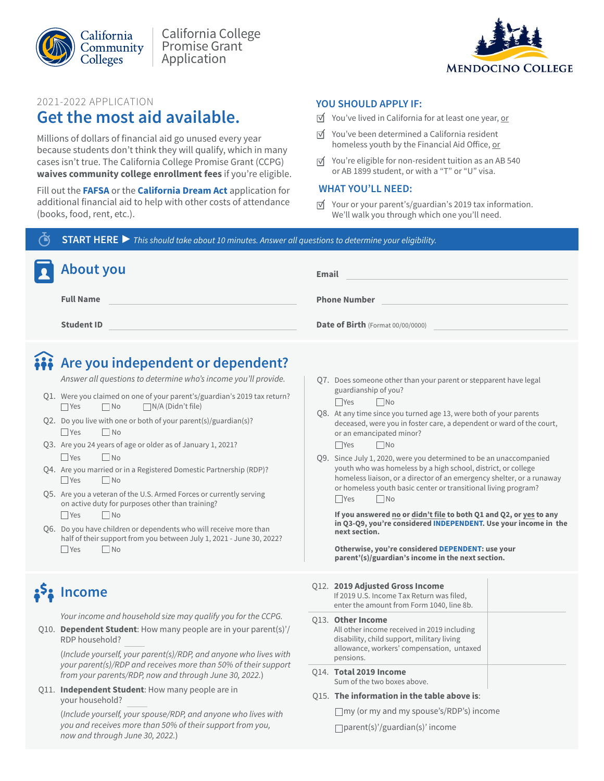



### 2021-2022 APPLICATION

## **Get the most aid available.**

Millions of dollars of financial aid go unused every year because students don't think they will qualify, which in many cases isn't true. The California College Promise Grant (CCPG) **waives community college enrollment fees** if you're eligible.

 Fill out the **[FAFSA](https://studentaid.gov/h/apply-for-aid/fafsa)** or the **[California Dream Act](https://dream.csac.ca.gov/)** application for additional financial aid to help with other costs of attendance (books, food, rent, etc.).

### **YOU SHOULD APPLY IF:**

- $\overrightarrow{v}$  You've lived in California for at least one year, or
- $\overrightarrow{v}$  You've been determined a California resident homeless youth by the Financial Aid Office, or
- $\overrightarrow{v}$  You're eligible for non-resident tuition as an AB 540 or AB 1899 student, or with a "T" or "U" visa.

### **WHAT YOU'LL NEED:**

 $\overrightarrow{M}$  Your or your parent's/guardian's 2019 tax information. We'll walk you through which one you'll need.

**START HERE ▶** *This should take about 10 minutes. Answer all questions to determine your eligibility.* 

| About you         | <b>Email</b>                      |
|-------------------|-----------------------------------|
| <b>Full Name</b>  | <b>Phone Number</b>               |
| <b>Student ID</b> | Date of Birth (Format 00/00/0000) |

# **Are you independent or dependent?**

*Answer all questions to determine who's income you'll provide.* 

- Q1. Were you claimed on one of your parent's/guardian's 2019 tax return? ■ Yes No N/A (Didn't file)
- Q2. Do you live with one or both of your parent(s)/guardian(s)?  $\Box$  Yes  $\Box$  No
- Q3. Are you 24 years of age or older as of January 1, 2021?  $\Box$  Yes  $\Box$  No
- Q4. Are you married or in a Registered Domestic Partnership (RDP)?  $\Box$  Yes  $\Box$  No
- Q5. Are you a veteran of the U.S. Armed Forces or currently serving on active duty for purposes other than training? ■ Yes No
- Q6. Do you have children or dependents who will receive more than half of their support from you between July 1, 2021 - June 30, 2022?  $\Box$  Yes  $\Box$  No

# <mark>ኔ<sup>5</sup>ኔ Income</mark>

*Your income and household size may qualify you for the CCPG.* 

Q10. **Dependent Student**: How many people are in your parent(s)'/ RDP household?

(*Include yourself, your parent(s)/RDP, and anyone who lives with your parent(s)/RDP and receives more than 50% of their support from your parents/RDP, now and through June 30, 202*2*.*)

 Q11. **Independent Student**: How many people are in your household?

> (*Include yourself, your spouse/RDP, and anyone who lives with you and receives more than 50% of their support from you, now and through June 30, 202*2*.*)

Q7. Does someone other than your parent or stepparent have legal guardianship of you?

No No

- Q8. At any time since you turned age 13, were both of your parents deceased, were you in foster care, a dependent or ward of the court, or an emancipated minor?  $\Box$ Yes  $\Box$ No
	-
- Q9. Since July 1, 2020, were you determined to be an unaccompanied youth who was homeless by a high school, district, or college homeless liaison, or a director of an emergency shelter, or a runaway or homeless youth basic center or transitional living program?  $\Box$ Yes  $\Box$ No

next section. **If you answered no or didn't file to both Q1 and Q2, or yes to any in Q3-Q9, you're considered INDEPENDENT. Use your income in the** 

**Otherwise, you're considered DEPENDENT: use your parent'(s)/guardian's income in the next section.** 

#### Q12. **2019 Adjusted Gross Income**

| 014. Total 2019 Income                                                                                                                                                          |  |
|---------------------------------------------------------------------------------------------------------------------------------------------------------------------------------|--|
| <b>Q13. Other Income</b><br>All other income received in 2019 including<br>disability, child support, military living<br>allowance, workers' compensation, untaxed<br>pensions. |  |
| If 2019 U.S. Income Tax Return was filed,<br>enter the amount from Form 1040, line 8b.                                                                                          |  |

Sum of the two boxes above.

### Q15. **The information in the table above is**:

my (or my and my spouse's/RDP's) income parent(s)'/guardian(s)' income